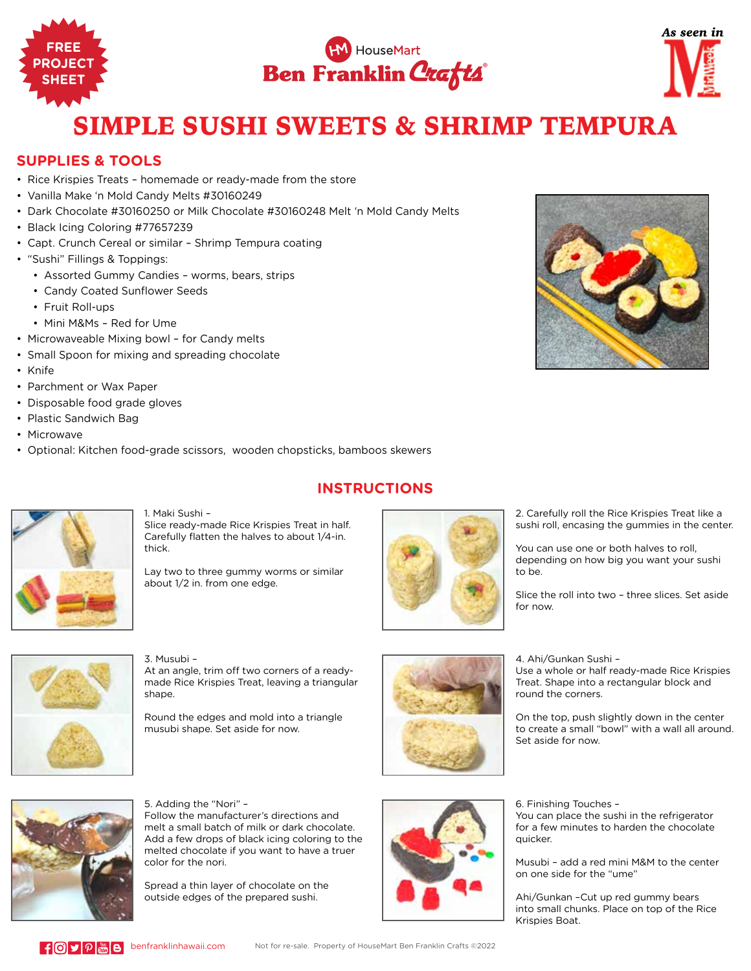





## SIMPLE SUSHI SWEETS & SHRIMP TEMPURA

## **SUPPLIES & TOOLS**

- Rice Krispies Treats homemade or ready-made from the store
- Vanilla Make 'n Mold Candy Melts #30160249
- Dark Chocolate #30160250 or Milk Chocolate #30160248 Melt 'n Mold Candy Melts
- Black Icing Coloring #77657239
- Capt. Crunch Cereal or similar Shrimp Tempura coating
- "Sushi" Fillings & Toppings:
	- Assorted Gummy Candies worms, bears, strips
	- Candy Coated Sunflower Seeds
	- Fruit Roll-ups
	- Mini M&Ms Red for Ume
- Microwaveable Mixing bowl for Candy melts
- Small Spoon for mixing and spreading chocolate
- Knife
- Parchment or Wax Paper
- Disposable food grade gloves
- Plastic Sandwich Bag
- Microwave
- Optional: Kitchen food-grade scissors, wooden chopsticks, bamboos skewers





1. Maki Sushi – Slice ready-made Rice Krispies Treat in half. Carefully flatten the halves to about 1/4-in. thick.

Lay two to three gummy worms or similar about 1/2 in. from one edge.



2. Carefully roll the Rice Krispies Treat like a sushi roll, encasing the gummies in the center.

You can use one or both halves to roll, depending on how big you want your sushi to be.

Slice the roll into two – three slices. Set aside for now.

3. Musubi – At an angle, trim off two corners of a readymade Rice Krispies Treat, leaving a triangular

Round the edges and mold into a triangle musubi shape. Set aside for now.



4. Ahi/Gunkan Sushi –

quicker.

Use a whole or half ready-made Rice Krispies Treat. Shape into a rectangular block and round the corners.

On the top, push slightly down in the center to create a small "bowl" with a wall all around. Set aside for now.



5. Adding the "Nori" – Follow the manufacturer's directions and melt a small batch of milk or dark chocolate. Add a few drops of black icing coloring to the melted chocolate if you want to have a truer color for the nori.

Spread a thin layer of chocolate on the outside edges of the prepared sushi.



6. Finishing Touches – You can place the sushi in the refrigerator for a few minutes to harden the chocolate

Musubi – add a red mini M&M to the center on one side for the "ume"

Ahi/Gunkan –Cut up red gummy bears into small chunks. Place on top of the Rice Krispies Boat.

shape

## **INSTRUCTIONS**